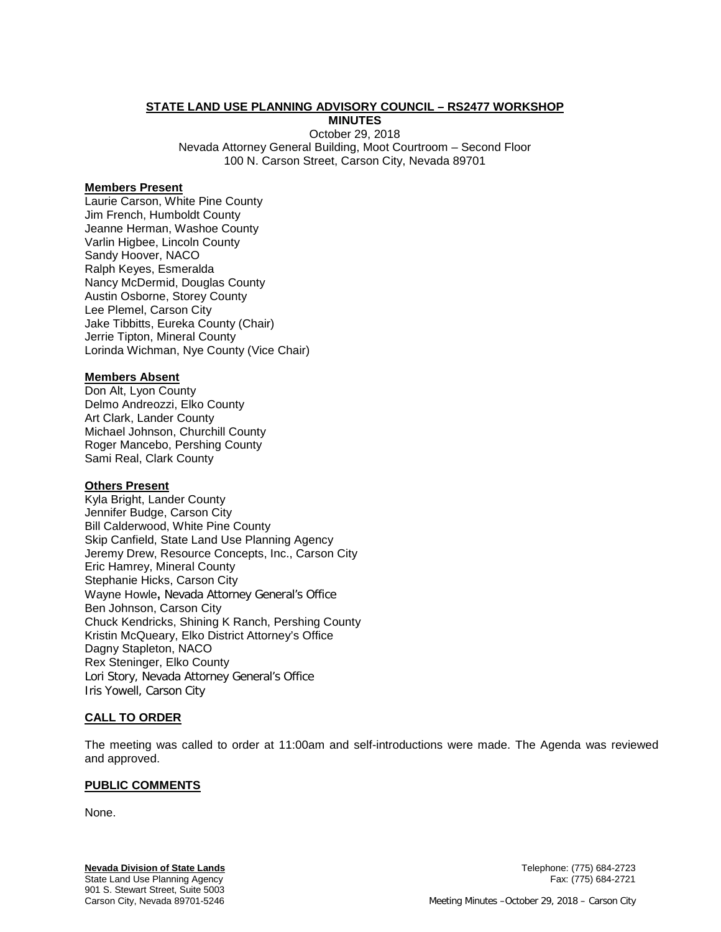## **STATE LAND USE PLANNING ADVISORY COUNCIL – RS2477 WORKSHOP**

**MINUTES**

October 29, 2018 Nevada Attorney General Building, Moot Courtroom – Second Floor 100 N. Carson Street, Carson City, Nevada 89701

### **Members Present**

Laurie Carson, White Pine County Jim French, Humboldt County Jeanne Herman, Washoe County Varlin Higbee, Lincoln County Sandy Hoover, NACO Ralph Keyes, Esmeralda Nancy McDermid, Douglas County Austin Osborne, Storey County Lee Plemel, Carson City Jake Tibbitts, Eureka County (Chair) Jerrie Tipton, Mineral County Lorinda Wichman, Nye County (Vice Chair)

### **Members Absent**

Don Alt, Lyon County Delmo Andreozzi, Elko County Art Clark, Lander County Michael Johnson, Churchill County Roger Mancebo, Pershing County Sami Real, Clark County

## **Others Present**

Kyla Bright, Lander County Jennifer Budge, Carson City Bill Calderwood, White Pine County Skip Canfield, State Land Use Planning Agency Jeremy Drew, Resource Concepts, Inc., Carson City Eric Hamrey, Mineral County Stephanie Hicks, Carson City Wayne Howle**,** Nevada Attorney General's Office Ben Johnson, Carson City Chuck Kendricks, Shining K Ranch, Pershing County Kristin McQueary, Elko District Attorney's Office Dagny Stapleton, NACO Rex Steninger, Elko County Lori Story, Nevada Attorney General's Office Iris Yowell, Carson City

### **CALL TO ORDER**

The meeting was called to order at 11:00am and self-introductions were made. The Agenda was reviewed and approved.

### **PUBLIC COMMENTS**

None.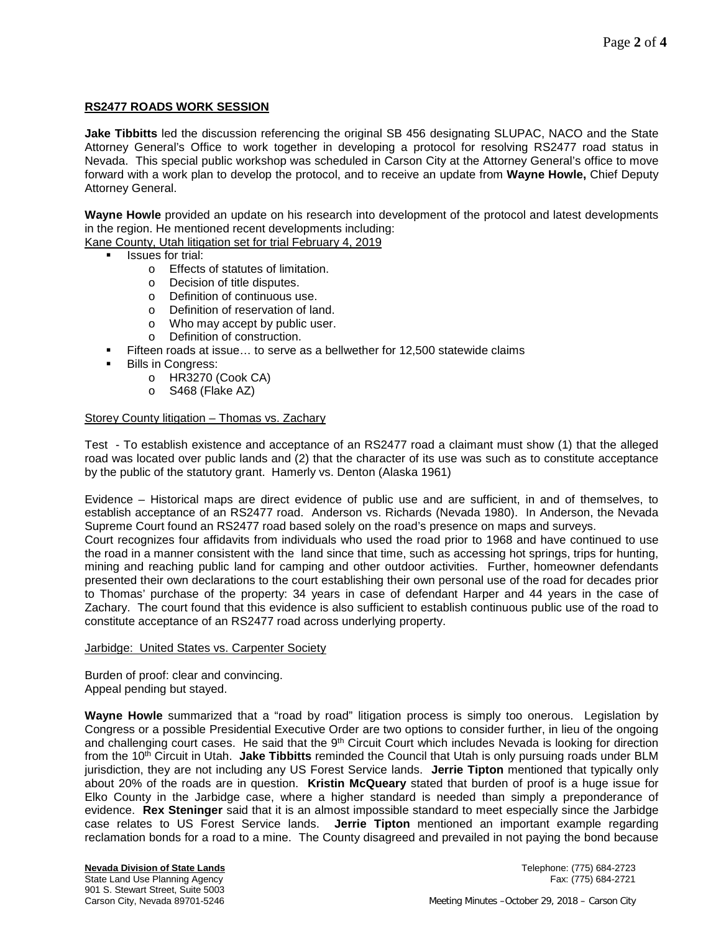## **RS2477 ROADS WORK SESSION**

**Jake Tibbitts** led the discussion referencing the original SB 456 designating SLUPAC, NACO and the State Attorney General's Office to work together in developing a protocol for resolving RS2477 road status in Nevada. This special public workshop was scheduled in Carson City at the Attorney General's office to move forward with a work plan to develop the protocol, and to receive an update from **Wayne Howle,** Chief Deputy Attorney General.

**Wayne Howle** provided an update on his research into development of the protocol and latest developments in the region. He mentioned recent developments including:

Kane County, Utah litigation set for trial February 4, 2019

- Issues for trial:
	- o Effects of statutes of limitation.<br>
	o Decision of title disputes.
	- Decision of title disputes.
	- o Definition of continuous use.
	- o Definition of reservation of land.<br>
	o Who may accept by public user.
	- Who may accept by public user.
	- o Definition of construction.
- Fifteen roads at issue… to serve as a bellwether for 12,500 statewide claims
- Bills in Congress:
	- o HR3270 (Cook CA)
	- o S468 (Flake AZ)

## Storey County litigation - Thomas vs. Zachary

Test - To establish existence and acceptance of an RS2477 road a claimant must show (1) that the alleged road was located over public lands and (2) that the character of its use was such as to constitute acceptance by the public of the statutory grant. Hamerly vs. Denton (Alaska 1961)

Evidence – Historical maps are direct evidence of public use and are sufficient, in and of themselves, to establish acceptance of an RS2477 road. Anderson vs. Richards (Nevada 1980). In Anderson, the Nevada Supreme Court found an RS2477 road based solely on the road's presence on maps and surveys.

Court recognizes four affidavits from individuals who used the road prior to 1968 and have continued to use the road in a manner consistent with the land since that time, such as accessing hot springs, trips for hunting, mining and reaching public land for camping and other outdoor activities. Further, homeowner defendants presented their own declarations to the court establishing their own personal use of the road for decades prior to Thomas' purchase of the property: 34 years in case of defendant Harper and 44 years in the case of Zachary. The court found that this evidence is also sufficient to establish continuous public use of the road to constitute acceptance of an RS2477 road across underlying property.

#### Jarbidge: United States vs. Carpenter Society

Burden of proof: clear and convincing. Appeal pending but stayed.

**Wayne Howle** summarized that a "road by road" litigation process is simply too onerous. Legislation by Congress or a possible Presidential Executive Order are two options to consider further, in lieu of the ongoing and challenging court cases. He said that the  $9<sup>th</sup>$  Circuit Court which includes Nevada is looking for direction from the 10th Circuit in Utah. **Jake Tibbitts** reminded the Council that Utah is only pursuing roads under BLM jurisdiction, they are not including any US Forest Service lands. **Jerrie Tipton** mentioned that typically only about 20% of the roads are in question. **Kristin McQueary** stated that burden of proof is a huge issue for Elko County in the Jarbidge case, where a higher standard is needed than simply a preponderance of evidence. **Rex Steninger** said that it is an almost impossible standard to meet especially since the Jarbidge case relates to US Forest Service lands. **Jerrie Tipton** mentioned an important example regarding reclamation bonds for a road to a mine. The County disagreed and prevailed in not paying the bond because

**Nevada Division of State Lands** Telephone: (775) 684-2723 State Land Use Planning Agency 901 S. Stewart Street, Suite 5003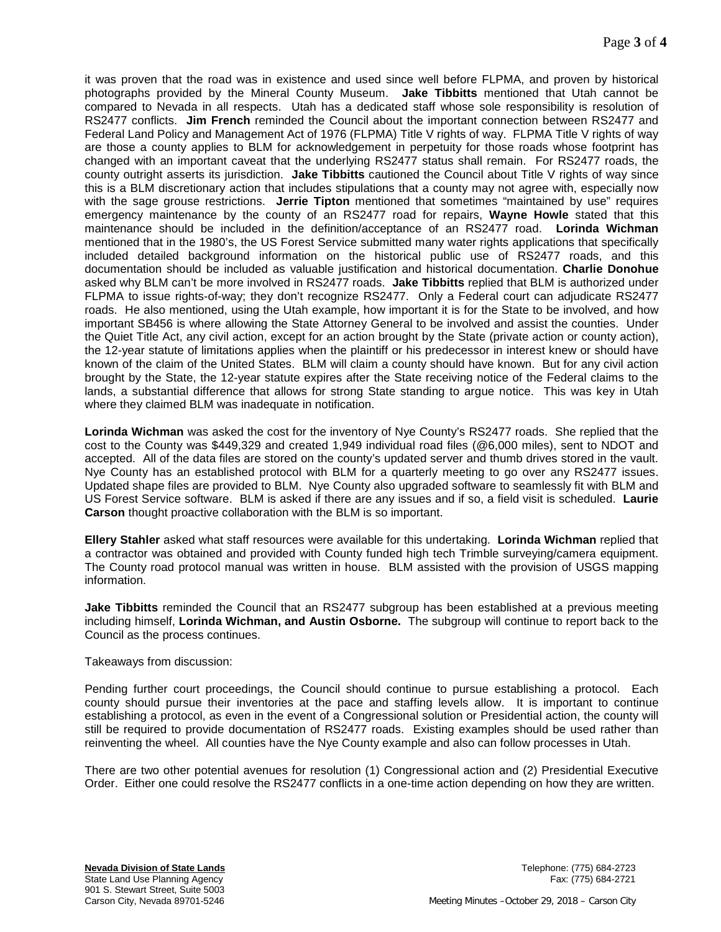it was proven that the road was in existence and used since well before FLPMA, and proven by historical photographs provided by the Mineral County Museum. **Jake Tibbitts** mentioned that Utah cannot be compared to Nevada in all respects. Utah has a dedicated staff whose sole responsibility is resolution of RS2477 conflicts. **Jim French** reminded the Council about the important connection between RS2477 and Federal Land Policy and Management Act of 1976 (FLPMA) Title V rights of way. FLPMA Title V rights of way are those a county applies to BLM for acknowledgement in perpetuity for those roads whose footprint has changed with an important caveat that the underlying RS2477 status shall remain. For RS2477 roads, the county outright asserts its jurisdiction. **Jake Tibbitts** cautioned the Council about Title V rights of way since this is a BLM discretionary action that includes stipulations that a county may not agree with, especially now with the sage grouse restrictions. **Jerrie Tipton** mentioned that sometimes "maintained by use" requires emergency maintenance by the county of an RS2477 road for repairs, **Wayne Howle** stated that this maintenance should be included in the definition/acceptance of an RS2477 road. **Lorinda Wichman**  mentioned that in the 1980's, the US Forest Service submitted many water rights applications that specifically included detailed background information on the historical public use of RS2477 roads, and this documentation should be included as valuable justification and historical documentation. **Charlie Donohue**  asked why BLM can't be more involved in RS2477 roads. **Jake Tibbitts** replied that BLM is authorized under FLPMA to issue rights-of-way; they don't recognize RS2477. Only a Federal court can adjudicate RS2477 roads. He also mentioned, using the Utah example, how important it is for the State to be involved, and how important SB456 is where allowing the State Attorney General to be involved and assist the counties. Under the Quiet Title Act, any civil action, except for an action brought by the State (private action or county action), the 12-year statute of limitations applies when the plaintiff or his predecessor in interest knew or should have known of the claim of the United States. BLM will claim a county should have known. But for any civil action brought by the State, the 12-year statute expires after the State receiving notice of the Federal claims to the lands, a substantial difference that allows for strong State standing to argue notice. This was key in Utah where they claimed BLM was inadequate in notification.

**Lorinda Wichman** was asked the cost for the inventory of Nye County's RS2477 roads. She replied that the cost to the County was \$449,329 and created 1,949 individual road files (@6,000 miles), sent to NDOT and accepted. All of the data files are stored on the county's updated server and thumb drives stored in the vault. Nye County has an established protocol with BLM for a quarterly meeting to go over any RS2477 issues. Updated shape files are provided to BLM. Nye County also upgraded software to seamlessly fit with BLM and US Forest Service software. BLM is asked if there are any issues and if so, a field visit is scheduled. **Laurie Carson** thought proactive collaboration with the BLM is so important.

**Ellery Stahler** asked what staff resources were available for this undertaking. **Lorinda Wichman** replied that a contractor was obtained and provided with County funded high tech Trimble surveying/camera equipment. The County road protocol manual was written in house. BLM assisted with the provision of USGS mapping information.

**Jake Tibbitts** reminded the Council that an RS2477 subgroup has been established at a previous meeting including himself, **Lorinda Wichman, and Austin Osborne.** The subgroup will continue to report back to the Council as the process continues.

### Takeaways from discussion:

Pending further court proceedings, the Council should continue to pursue establishing a protocol. Each county should pursue their inventories at the pace and staffing levels allow. It is important to continue establishing a protocol, as even in the event of a Congressional solution or Presidential action, the county will still be required to provide documentation of RS2477 roads. Existing examples should be used rather than reinventing the wheel. All counties have the Nye County example and also can follow processes in Utah.

There are two other potential avenues for resolution (1) Congressional action and (2) Presidential Executive Order. Either one could resolve the RS2477 conflicts in a one-time action depending on how they are written.